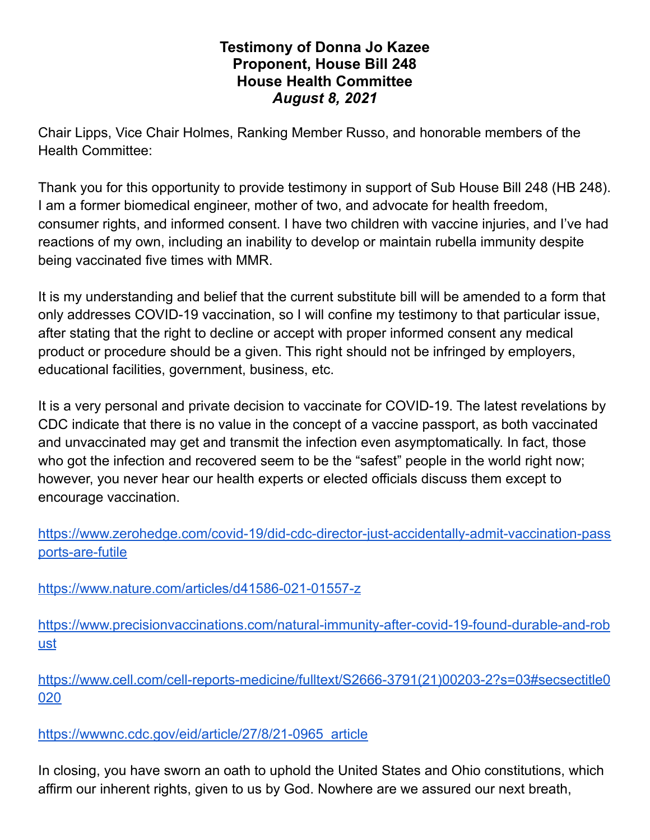## **Testimony of Donna Jo Kazee Proponent, House Bill 248 House Health Committee** *August 8, 2021*

Chair Lipps, Vice Chair Holmes, Ranking Member Russo, and honorable members of the Health Committee:

Thank you for this opportunity to provide testimony in support of Sub House Bill 248 (HB 248). I am a former biomedical engineer, mother of two, and advocate for health freedom, consumer rights, and informed consent. I have two children with vaccine injuries, and I've had reactions of my own, including an inability to develop or maintain rubella immunity despite being vaccinated five times with MMR.

It is my understanding and belief that the current substitute bill will be amended to a form that only addresses COVID-19 vaccination, so I will confine my testimony to that particular issue, after stating that the right to decline or accept with proper informed consent any medical product or procedure should be a given. This right should not be infringed by employers, educational facilities, government, business, etc.

It is a very personal and private decision to vaccinate for COVID-19. The latest revelations by CDC indicate that there is no value in the concept of a vaccine passport, as both vaccinated and unvaccinated may get and transmit the infection even asymptomatically. In fact, those who got the infection and recovered seem to be the "safest" people in the world right now; however, you never hear our health experts or elected officials discuss them except to encourage vaccination.

[https://www.zerohedge.com/covid-19/did-cdc-director-just-accidentally-admit-vaccination-pass](https://www.zerohedge.com/covid-19/did-cdc-director-just-accidentally-admit-vaccination-passports-are-futile) [ports-are-futile](https://www.zerohedge.com/covid-19/did-cdc-director-just-accidentally-admit-vaccination-passports-are-futile)

<https://www.nature.com/articles/d41586-021-01557-z>

[https://www.precisionvaccinations.com/natural-immunity-after-covid-19-found-durable-and-rob](https://www.precisionvaccinations.com/natural-immunity-after-covid-19-found-durable-and-robust) [ust](https://www.precisionvaccinations.com/natural-immunity-after-covid-19-found-durable-and-robust)

[https://www.cell.com/cell-reports-medicine/fulltext/S2666-3791\(21\)00203-2?s=03#secsectitle0](https://www.cell.com/cell-reports-medicine/fulltext/S2666-3791(21)00203-2?s=03#secsectitle0020) [020](https://www.cell.com/cell-reports-medicine/fulltext/S2666-3791(21)00203-2?s=03#secsectitle0020)

[https://wwwnc.cdc.gov/eid/article/27/8/21-0965\\_article](https://wwwnc.cdc.gov/eid/article/27/8/21-0965_article)

In closing, you have sworn an oath to uphold the United States and Ohio constitutions, which affirm our inherent rights, given to us by God. Nowhere are we assured our next breath,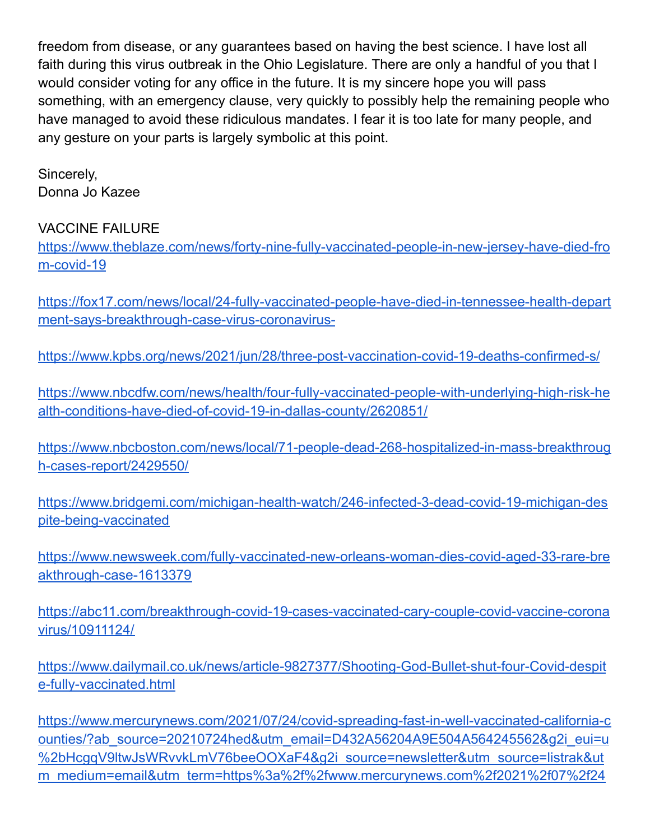freedom from disease, or any guarantees based on having the best science. I have lost all faith during this virus outbreak in the Ohio Legislature. There are only a handful of you that I would consider voting for any office in the future. It is my sincere hope you will pass something, with an emergency clause, very quickly to possibly help the remaining people who have managed to avoid these ridiculous mandates. I fear it is too late for many people, and any gesture on your parts is largely symbolic at this point.

Sincerely, Donna Jo Kazee

## VACCINE FAILURE

[https://www.theblaze.com/news/forty-nine-fully-vaccinated-people-in-new-jersey-have-died-fro](https://www.theblaze.com/news/forty-nine-fully-vaccinated-people-in-new-jersey-have-died-from-covid-19) [m-covid-19](https://www.theblaze.com/news/forty-nine-fully-vaccinated-people-in-new-jersey-have-died-from-covid-19)

[https://fox17.com/news/local/24-fully-vaccinated-people-have-died-in-tennessee-health-depart](https://fox17.com/news/local/24-fully-vaccinated-people-have-died-in-tennessee-health-department-says-breakthrough-case-virus-coronavirus-) [ment-says-breakthrough-case-virus-coronavirus-](https://fox17.com/news/local/24-fully-vaccinated-people-have-died-in-tennessee-health-department-says-breakthrough-case-virus-coronavirus-)

<https://www.kpbs.org/news/2021/jun/28/three-post-vaccination-covid-19-deaths-confirmed-s/>

[https://www.nbcdfw.com/news/health/four-fully-vaccinated-people-with-underlying-high-risk-he](https://www.nbcdfw.com/news/health/four-fully-vaccinated-people-with-underlying-high-risk-health-conditions-have-died-of-covid-19-in-dallas-county/2620851/) [alth-conditions-have-died-of-covid-19-in-dallas-county/2620851/](https://www.nbcdfw.com/news/health/four-fully-vaccinated-people-with-underlying-high-risk-health-conditions-have-died-of-covid-19-in-dallas-county/2620851/)

[https://www.nbcboston.com/news/local/71-people-dead-268-hospitalized-in-mass-breakthroug](https://www.nbcboston.com/news/local/71-people-dead-268-hospitalized-in-mass-breakthrough-cases-report/2429550/) [h-cases-report/2429550/](https://www.nbcboston.com/news/local/71-people-dead-268-hospitalized-in-mass-breakthrough-cases-report/2429550/)

[https://www.bridgemi.com/michigan-health-watch/246-infected-3-dead-covid-19-michigan-des](https://www.bridgemi.com/michigan-health-watch/246-infected-3-dead-covid-19-michigan-despite-being-vaccinated) [pite-being-vaccinated](https://www.bridgemi.com/michigan-health-watch/246-infected-3-dead-covid-19-michigan-despite-being-vaccinated)

[https://www.newsweek.com/fully-vaccinated-new-orleans-woman-dies-covid-aged-33-rare-bre](https://www.newsweek.com/fully-vaccinated-new-orleans-woman-dies-covid-aged-33-rare-breakthrough-case-1613379) [akthrough-case-1613379](https://www.newsweek.com/fully-vaccinated-new-orleans-woman-dies-covid-aged-33-rare-breakthrough-case-1613379)

[https://abc11.com/breakthrough-covid-19-cases-vaccinated-cary-couple-covid-vaccine-corona](https://abc11.com/breakthrough-covid-19-cases-vaccinated-cary-couple-covid-vaccine-coronavirus/10911124/) [virus/10911124/](https://abc11.com/breakthrough-covid-19-cases-vaccinated-cary-couple-covid-vaccine-coronavirus/10911124/)

[https://www.dailymail.co.uk/news/article-9827377/Shooting-God-Bullet-shut-four-Covid-despit](https://www.dailymail.co.uk/news/article-9827377/Shooting-God-Bullet-shut-four-Covid-despite-fully-vaccinated.html) [e-fully-vaccinated.html](https://www.dailymail.co.uk/news/article-9827377/Shooting-God-Bullet-shut-four-Covid-despite-fully-vaccinated.html)

[https://www.mercurynews.com/2021/07/24/covid-spreading-fast-in-well-vaccinated-california-c](https://www.mercurynews.com/2021/07/24/covid-spreading-fast-in-well-vaccinated-california-counties/?ab_source=20210724hed&utm_email=D432A56204A9E504A564245562&g2i_eui=u%2bHcgqV9ltwJsWRvvkLmV76beeOOXaF4&g2i_source=newsletter&utm_source=listrak&utm_medium=email&utm_term=https%3a%2f%2fwww.mercurynews.com%2f2021%2f07%2f24%2fcovid-spreading-fast-in-well-vaccinated-california-counties%2f%3fab_source%3d20210724hed&utm_campaign=bang-mult-nl-pm-report-nl&utm_content=curated) ounties/?ab\_source=20210724hed&utm\_email=D432A56204A9E504A564245562&q2i\_eui=u [%2bHcgqV9ltwJsWRvvkLmV76beeOOXaF4&g2i\\_source=newsletter&utm\\_source=listrak&ut](https://www.mercurynews.com/2021/07/24/covid-spreading-fast-in-well-vaccinated-california-counties/?ab_source=20210724hed&utm_email=D432A56204A9E504A564245562&g2i_eui=u%2bHcgqV9ltwJsWRvvkLmV76beeOOXaF4&g2i_source=newsletter&utm_source=listrak&utm_medium=email&utm_term=https%3a%2f%2fwww.mercurynews.com%2f2021%2f07%2f24%2fcovid-spreading-fast-in-well-vaccinated-california-counties%2f%3fab_source%3d20210724hed&utm_campaign=bang-mult-nl-pm-report-nl&utm_content=curated) [m\\_medium=email&utm\\_term=https%3a%2f%2fwww.mercurynews.com%2f2021%2f07%2f24](https://www.mercurynews.com/2021/07/24/covid-spreading-fast-in-well-vaccinated-california-counties/?ab_source=20210724hed&utm_email=D432A56204A9E504A564245562&g2i_eui=u%2bHcgqV9ltwJsWRvvkLmV76beeOOXaF4&g2i_source=newsletter&utm_source=listrak&utm_medium=email&utm_term=https%3a%2f%2fwww.mercurynews.com%2f2021%2f07%2f24%2fcovid-spreading-fast-in-well-vaccinated-california-counties%2f%3fab_source%3d20210724hed&utm_campaign=bang-mult-nl-pm-report-nl&utm_content=curated)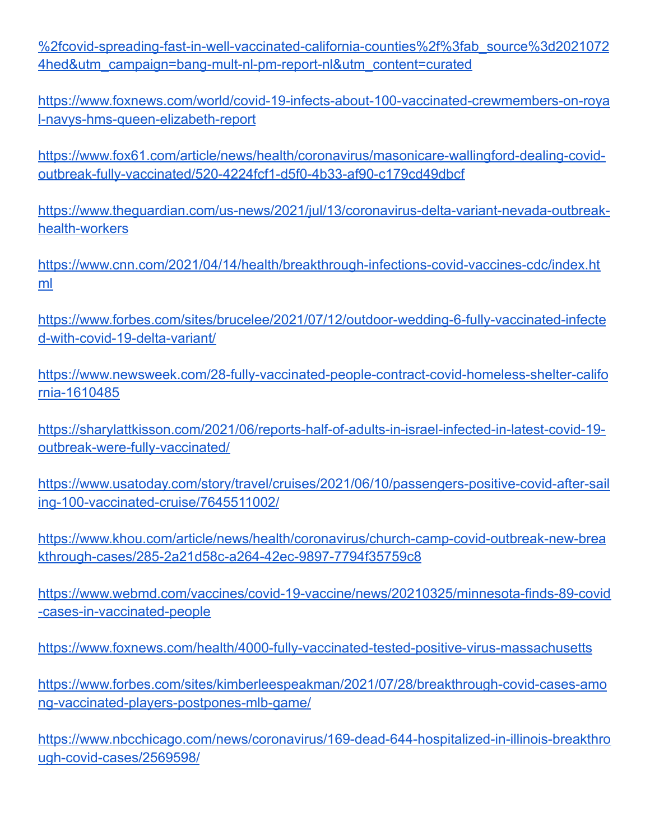[%2fcovid-spreading-fast-in-well-vaccinated-california-counties%2f%3fab\\_source%3d2021072](https://www.mercurynews.com/2021/07/24/covid-spreading-fast-in-well-vaccinated-california-counties/?ab_source=20210724hed&utm_email=D432A56204A9E504A564245562&g2i_eui=u%2bHcgqV9ltwJsWRvvkLmV76beeOOXaF4&g2i_source=newsletter&utm_source=listrak&utm_medium=email&utm_term=https%3a%2f%2fwww.mercurynews.com%2f2021%2f07%2f24%2fcovid-spreading-fast-in-well-vaccinated-california-counties%2f%3fab_source%3d20210724hed&utm_campaign=bang-mult-nl-pm-report-nl&utm_content=curated) [4hed&utm\\_campaign=bang-mult-nl-pm-report-nl&utm\\_content=curated](https://www.mercurynews.com/2021/07/24/covid-spreading-fast-in-well-vaccinated-california-counties/?ab_source=20210724hed&utm_email=D432A56204A9E504A564245562&g2i_eui=u%2bHcgqV9ltwJsWRvvkLmV76beeOOXaF4&g2i_source=newsletter&utm_source=listrak&utm_medium=email&utm_term=https%3a%2f%2fwww.mercurynews.com%2f2021%2f07%2f24%2fcovid-spreading-fast-in-well-vaccinated-california-counties%2f%3fab_source%3d20210724hed&utm_campaign=bang-mult-nl-pm-report-nl&utm_content=curated)

[https://www.foxnews.com/world/covid-19-infects-about-100-vaccinated-crewmembers-on-roya](https://www.foxnews.com/world/covid-19-infects-about-100-vaccinated-crewmembers-on-royal-navys-hms-queen-elizabeth-report) [l-navys-hms-queen-elizabeth-report](https://www.foxnews.com/world/covid-19-infects-about-100-vaccinated-crewmembers-on-royal-navys-hms-queen-elizabeth-report)

[https://www.fox61.com/article/news/health/coronavirus/masonicare-wallingford-dealing-covid](https://www.fox61.com/article/news/health/coronavirus/masonicare-wallingford-dealing-covid-outbreak-fully-vaccinated/520-4224fcf1-d5f0-4b33-af90-c179cd49dbcf)[outbreak-fully-vaccinated/520-4224fcf1-d5f0-4b33-af90-c179cd49dbcf](https://www.fox61.com/article/news/health/coronavirus/masonicare-wallingford-dealing-covid-outbreak-fully-vaccinated/520-4224fcf1-d5f0-4b33-af90-c179cd49dbcf)

[https://www.theguardian.com/us-news/2021/jul/13/coronavirus-delta-variant-nevada-outbreak](https://www.theguardian.com/us-news/2021/jul/13/coronavirus-delta-variant-nevada-outbreak-health-workers)[health-workers](https://www.theguardian.com/us-news/2021/jul/13/coronavirus-delta-variant-nevada-outbreak-health-workers)

[https://www.cnn.com/2021/04/14/health/breakthrough-infections-covid-vaccines-cdc/index.ht](https://www.cnn.com/2021/04/14/health/breakthrough-infections-covid-vaccines-cdc/index.html) [ml](https://www.cnn.com/2021/04/14/health/breakthrough-infections-covid-vaccines-cdc/index.html)

[https://www.forbes.com/sites/brucelee/2021/07/12/outdoor-wedding-6-fully-vaccinated-infecte](https://www.forbes.com/sites/brucelee/2021/07/12/outdoor-wedding-6-fully-vaccinated-infected-with-covid-19-delta-variant/) [d-with-covid-19-delta-variant/](https://www.forbes.com/sites/brucelee/2021/07/12/outdoor-wedding-6-fully-vaccinated-infected-with-covid-19-delta-variant/)

[https://www.newsweek.com/28-fully-vaccinated-people-contract-covid-homeless-shelter-califo](https://www.newsweek.com/28-fully-vaccinated-people-contract-covid-homeless-shelter-california-1610485) [rnia-1610485](https://www.newsweek.com/28-fully-vaccinated-people-contract-covid-homeless-shelter-california-1610485)

[https://sharylattkisson.com/2021/06/reports-half-of-adults-in-israel-infected-in-latest-covid-19](https://sharylattkisson.com/2021/06/reports-half-of-adults-in-israel-infected-in-latest-covid-19-outbreak-were-fully-vaccinated/) [outbreak-were-fully-vaccinated/](https://sharylattkisson.com/2021/06/reports-half-of-adults-in-israel-infected-in-latest-covid-19-outbreak-were-fully-vaccinated/)

[https://www.usatoday.com/story/travel/cruises/2021/06/10/passengers-positive-covid-after-sail](https://www.usatoday.com/story/travel/cruises/2021/06/10/passengers-positive-covid-after-sailing-100-vaccinated-cruise/7645511002/) [ing-100-vaccinated-cruise/7645511002/](https://www.usatoday.com/story/travel/cruises/2021/06/10/passengers-positive-covid-after-sailing-100-vaccinated-cruise/7645511002/)

[https://www.khou.com/article/news/health/coronavirus/church-camp-covid-outbreak-new-brea](https://www.khou.com/article/news/health/coronavirus/church-camp-covid-outbreak-new-breakthrough-cases/285-2a21d58c-a264-42ec-9897-7794f35759c8) [kthrough-cases/285-2a21d58c-a264-42ec-9897-7794f35759c8](https://www.khou.com/article/news/health/coronavirus/church-camp-covid-outbreak-new-breakthrough-cases/285-2a21d58c-a264-42ec-9897-7794f35759c8)

[https://www.webmd.com/vaccines/covid-19-vaccine/news/20210325/minnesota-finds-89-covid](https://www.webmd.com/vaccines/covid-19-vaccine/news/20210325/minnesota-finds-89-covid-cases-in-vaccinated-people) [-cases-in-vaccinated-people](https://www.webmd.com/vaccines/covid-19-vaccine/news/20210325/minnesota-finds-89-covid-cases-in-vaccinated-people)

<https://www.foxnews.com/health/4000-fully-vaccinated-tested-positive-virus-massachusetts>

[https://www.forbes.com/sites/kimberleespeakman/2021/07/28/breakthrough-covid-cases-amo](https://www.forbes.com/sites/kimberleespeakman/2021/07/28/breakthrough-covid-cases-among-vaccinated-players-postpones-mlb-game/) [ng-vaccinated-players-postpones-mlb-game/](https://www.forbes.com/sites/kimberleespeakman/2021/07/28/breakthrough-covid-cases-among-vaccinated-players-postpones-mlb-game/)

[https://www.nbcchicago.com/news/coronavirus/169-dead-644-hospitalized-in-illinois-breakthro](https://www.nbcchicago.com/news/coronavirus/169-dead-644-hospitalized-in-illinois-breakthrough-covid-cases/2569598/) [ugh-covid-cases/2569598/](https://www.nbcchicago.com/news/coronavirus/169-dead-644-hospitalized-in-illinois-breakthrough-covid-cases/2569598/)